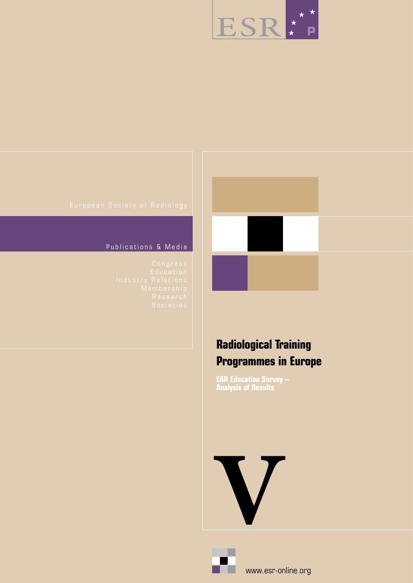

### Publications & Media



# **Radiological Training Programmes in Europe**

**EAR Education Survey – Analysis of Results** 



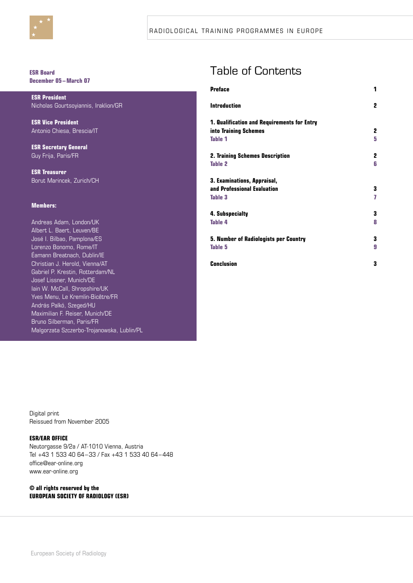

#### **ESR Board December 05– March 07**

**ESR President** Nicholas Gourtsoyiannis, Iraklion/GR

**ESR Vice President** Antonio Chiesa, Brescia/IT

**ESR Secretary General** Guy Frija, Paris/FR

**ESR Treasurer** Borut Marincek, Zurich/CH

#### **Members:**

Andreas Adam, London/UK Albert L. Baert, Leuven/BE José I. Bilbao, Pamplona/ES Lorenzo Bonomo, Rome/IT Éamann Breatnach, Dublin/IE Christian J. Herold, Vienna/AT Gabriel P. Krestin, Rotterdam/NL Josef Lissner, Munich/DE Iain W. McCall, Shropshire/UK Yves Menu, Le Kremlin-Bicêtre/FR András Palkó, Szeged/HU Maximilian F. Reiser, Munich/DE Bruno Silberman, Paris/FR Malgorzata Szczerbo-Trojanowska, Lublin/PL

# Table of Contents

| 1 |
|---|
| 2 |
|   |
| 2 |
| 5 |
| 2 |
| 6 |
|   |
| 3 |
| 7 |
| 3 |
| 8 |
| 3 |
| 9 |
| 3 |
|   |

Digital print Reissued from November 2005

#### **ESR/EAR OFFICE**

Neutorgasse 9/2a / AT-1010 Vienna, Austria Tel +43 1 533 40 64–33 / Fax +43 1 533 40 64–448 office@ear-online.org www.ear-online.org

#### **© all rights reserved by the EUROPEAN SOCIETY OF RADIOLOGY (ESR)**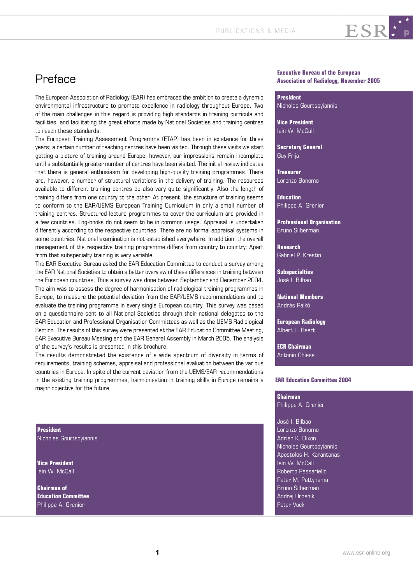

# Preface

The European Association of Radiology (EAR) has embraced the ambition to create a dynamic environmental infrastructure to promote excellence in radiology throughout Europe. Two of the main challenges in this regard is providing high standards in training curricula and facilities, and facilitating the great efforts made by National Societies and training centres to reach these standards.

The European Training Assessment Programme (ETAP) has been in existence for three years; a certain number of teaching centres have been visited. Through these visits we start getting a picture of training around Europe; however, our impressions remain incomplete until a substantially greater number of centres have been visited. The initial review indicates that there is general enthusiasm for developing high-quality training programmes. There are, however, a number of structural variations in the delivery of training. The resources available to different training centres do also vary quite significantly. Also the length of training differs from one country to the other. At present, the structure of training seems to conform to the EAR/UEMS European Training Curriculum in only a small number of training centres. Structured lecture programmes to cover the curriculum are provided in a few countries. Log-books do not seem to be in common usage. Appraisal is undertaken differently according to the respective countries. There are no formal appraisal systems in some countries. National examination is not established everywhere. In addition, the overall management of the respective training programme differs from country to country. Apart from that subspecialty training is very variable.

The EAR Executive Bureau asked the EAR Education Committee to conduct a survey among the EAR National Societies to obtain a better overview of these differences in training between the European countries. Thus a survey was done between September and December 2004. The aim was to assess the degree of harmonisation of radiological training programmes in Europe, to measure the potential deviation from the EAR/UEMS recommendations and to evaluate the training programme in every single European country. This survey was based on a questionnaire sent to all National Societies through their national delegates to the EAR Education and Professional Organisation Committees as well as the UEMS Radiological Section. The results of this survey were presented at the EAR Education Committee Meeting, EAR Executive Bureau Meeting and the EAR General Assembly in March 2005. The analysis of the survey's results is presented in this brochure.

The results demonstrated the existence of a wide spectrum of diversity in terms of requirements, training schemes, appraisal and professional evaluation between the various countries in Europe. In spite of the current deviation from the UEMS/EAR recommendations in the existing training programmes, harmonisation in training skills in Europe remains a major objective for the future.

**President**  Nicholas Gourtsoyiannis

**Vice President** Iain W. McCall

**Chairman of Education Committee** Philippe A. Grenier

#### **Executive Bureau of the European Association of Radiology, November 2005**

ESR\*P

**President** Nicholas Gourtsoyiannis

**Vice President** Iain W. McCall

**Secretary General** Guy Frija

**Treasurer** Lorenzo Bonomo

**Education** Philippe A. Grenier

**Professional Organisation** Bruno Silberman

**Research** Gabriel P. Krestin

**Subspecialties** José I. Bilbao

**National Members** András Palkó

**European Radiology** Albert L. Baert

**ECR Chairman** Antonio Chiesa

#### **EAR Education Committee 2004**

**Chairman** Philippe A. Grenier

José I. Bilbao Lorenzo Bonomo Adrian K. Dixon Nicholas Gourtsoyiannis Apostolos H. Karantanas Iain W. McCall Roberto Passariello Peter M. Pattynama Bruno Silberman Andrej Urbanik Peter Vock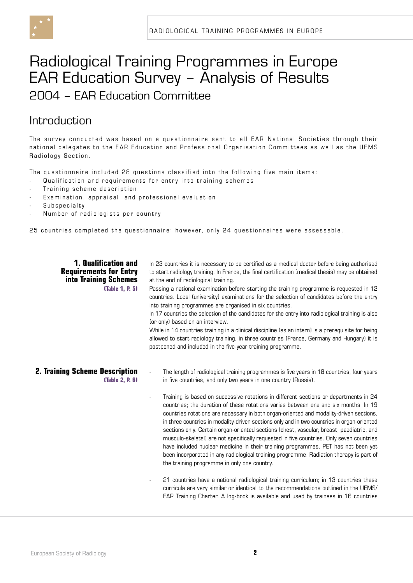

# Radiological Training Programmes in Europe EAR Education Survey – Analysis of Results 2004 – EAR Education Committee

### Introduction

The survey conducted was based on a questionnaire sent to all EAR National Societies through their national delegates to the EAR Education and Professional Organisation Committees as well as the UEMS Radiology Section.

The questionnaire included 28 questions classified into the following five main items:

- Qualification and requirements for entry into training schemes
- Training scheme description
- Examination, appraisal, and professional evaluation
- Subspecialty
- Number of radiologists per country

25 countries completed the questionnaire; however, only 24 questionnaires were assessable.

#### **1. Qualification and Requirements for Entry into Training Schemes (Table 1, P. 5)**

In 23 countries it is necessary to be certified as a medical doctor before being authorised to start radiology training. In France, the final certification (medical thesis) may be obtained at the end of radiological training.

Passing a national examination before starting the training programme is requested in 12 countries. Local (university) examinations for the selection of candidates before the entry into training programmes are organised in six countries.

In 17 countries the selection of the candidates for the entry into radiological training is also (or only) based on an interview.

While in 14 countries training in a clinical discipline (as an intern) is a prerequisite for being allowed to start radiology training, in three countries (France, Germany and Hungary) it is postponed and included in the five-year training programme.

#### **2. Training Scheme Description (Table 2, P. 6)**

- The length of radiological training programmes is five years in 18 countries, four years in five countries, and only two years in one country (Russia).
- Training is based on successive rotations in different sections or departments in 24 countries; the duration of these rotations varies between one and six months. In 19 countries rotations are necessary in both organ-oriented and modality-driven sections, in three countries in modality-driven sections only and in two countries in organ-oriented sections only. Certain organ-oriented sections (chest, vascular, breast, paediatric, and musculo-skeletal) are not specifically requested in five countries. Only seven countries have included nuclear medicine in their training programmes. PET has not been yet been incorporated in any radiological training programme. Radiation therapy is part of the training programme in only one country.
- 21 countries have a national radiological training curriculum; in 13 countries these curricula are very similar or identical to the recommendations outlined in the UEMS/ EAR Training Charter. A log-book is available and used by trainees in 16 countries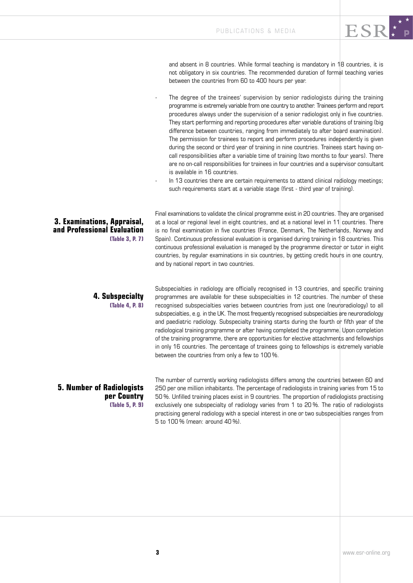and absent in 8 countries. While formal teaching is mandatory in  $18$  countries, it is not obligatory in six countries. The recommended duration of formal teaching varies between the countries from 60 to 400 hours per year.

ESR!P

- The degree of the trainees' supervision by senior radiologists during the training programme is extremely variable from one country to another. Trainees perform and report procedures always under the supervision of a senior radiologist only in five countries. They start performing and reporting procedures after variable durations of training (big difference between countries, ranging from immediately to after board examination). The permission for trainees to report and perform procedures independently is given during the second or third year of training in nine countries. Trainees start having oncall responsibilities after a variable time of training (two months to four years). There are no on-call responsibilities for trainees in four countries and a supervisor consultant is available in 16 countries.
- In 13 countries there are certain requirements to attend clinical radiology meetings; such requirements start at a variable stage (first - third year of training).

**3. Examinations, Appraisal, and Professional Evaluation (Table 3, P. 7)** Final examinations to validate the clinical programme exist in 20 countries. They are organised at a local or regional level in eight countries, and at a national level in 11 countries. There is no final examination in five countries (France, Denmark, The Netherlands, Norway and Spain). Continuous professional evaluation is organised during training in 18 countries. This continuous professional evaluation is managed by the programme director or tutor in eight countries, by regular examinations in six countries, by getting credit hours in one country, and by national report in two countries.

## **4. Subspecialty**

**(Table 4, P. 8)**

Subspecialties in radiology are officially recognised in 13 countries, and specific training programmes are available for these subspecialties in 12 countries. The number of these recognised subspecialties varies between countries from just one (neuroradiology) to all subspecialties, e.g. in the UK. The most frequently recognised subspecialties are neuroradiology and paediatric radiology. Subspecialty training starts during the fourth or fifth year of the radiological training programme or after having completed the programme. Upon completion of the training programme, there are opportunities for elective attachments and fellowships in only 16 countries. The percentage of trainees going to fellowships is extremely variable between the countries from only a few to 100 %.

**5. Number of Radiologists per Country (Table 5, P. 9)** The number of currently working radiologists differs among the countries between 60 and 250 per one million inhabitants. The percentage of radiologists in training varies from 15 to 50 %. Unfilled training places exist in 9 countries. The proportion of radiologists practising exclusively one subspecialty of radiology varies from 1 to 20 %. The ratio of radiologists practising general radiology with a special interest in one or two subspecialties ranges from 5 to 100 % (mean: around 40 %).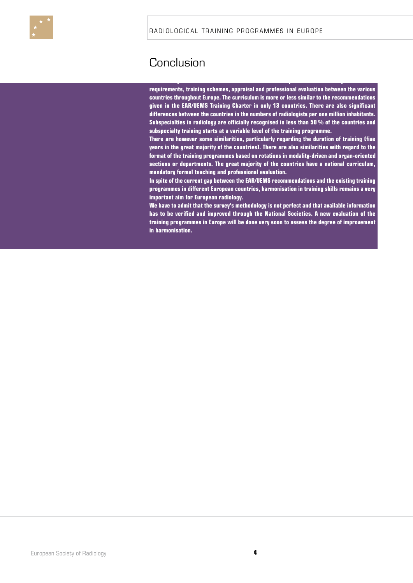

## Conclusion

**requirements, training schemes, appraisal and professional evaluation between the various countries throughout Europe. The curriculum is more or less similar to the recommendations given in the EAR/UEMS Training Charter in only 13 countries. There are also significant differences between the countries in the numbers of radiologists per one million inhabitants. Subspecialties in radiology are officially recognised in less than 50 % of the countries and subspecialty training starts at a variable level of the training programme.**

**This survey demonstrates the existence of a wide spectrum of diversity in terms of** 

**There are however some similarities, particularly regarding the duration of training (five years in the great majority of the countries). There are also similarities with regard to the format of the training programmes based on rotations in modality-driven and organ-oriented sections or departments. The great majority of the countries have a national curriculum, mandatory formal teaching and professional evaluation.** 

**In spite of the current gap between the EAR/UEMS recommendations and the existing training programmes in different European countries, harmonisation in training skills remains a very important aim for European radiology.** 

**We have to admit that the survey's methodology is not perfect and that available information has to be verified and improved through the National Societies. A new evaluation of the training programmes in Europe will be done very soon to assess the degree of improvement in harmonisation.**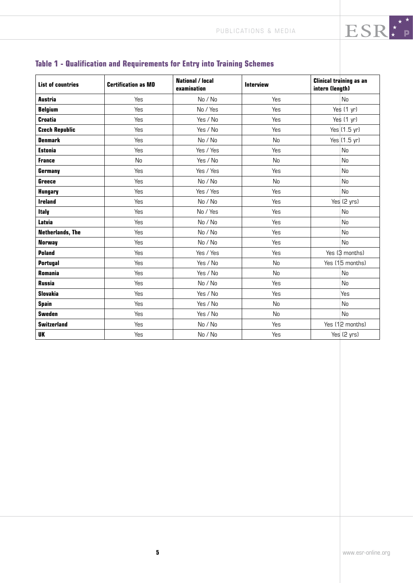| <b>List of countries</b> | <b>Certification as MD</b> | <b>National / local</b><br>examination | <b>Interview</b> | <b>Clinical training as an</b><br>intern (length) |
|--------------------------|----------------------------|----------------------------------------|------------------|---------------------------------------------------|
| <b>Austria</b>           | Yes                        | No / No                                | Yes              | N <sub>0</sub>                                    |
| <b>Belgium</b>           | Yes                        | No / Yes                               | Yes              | Yes $(1 \text{ yr})$                              |
| <b>Croatia</b>           | Yes                        | Yes / No                               | Yes              | Yes (1 yr)                                        |
| <b>Czech Republic</b>    | Yes                        | Yes / No                               | Yes              | Yes (1.5 yr)                                      |
| <b>Denmark</b>           | Yes                        | No / No                                | No               | Yes $(1.5$ yr)                                    |
| <b>Estonia</b>           | Yes                        | Yes / Yes                              | Yes              | N <sub>0</sub>                                    |
| <b>France</b>            | No                         | Yes / No                               | N <sub>0</sub>   | <b>No</b>                                         |
| Germany                  | Yes                        | Yes / Yes                              | Yes              | <b>No</b>                                         |
| <b>Greece</b>            | Yes                        | No / No                                | <b>No</b>        | <b>No</b>                                         |
| <b>Hungary</b>           | Yes                        | Yes / Yes                              | Yes              | No                                                |
| <b>Ireland</b>           | Yes                        | No / No                                | Yes              | Yes (2 yrs)                                       |
| <b>Italy</b>             | Yes                        | No / Yes                               | Yes              | <b>No</b>                                         |
| Latvia                   | Yes                        | No / No                                | Yes              | N <sub>0</sub>                                    |
| <b>Netherlands, The</b>  | Yes                        | No / No                                | Yes              | No                                                |
| <b>Norway</b>            | Yes                        | No / No                                | Yes              | N <sub>0</sub>                                    |
| <b>Poland</b>            | Yes                        | Yes / Yes                              | Yes              | Yes (3 months)                                    |
| <b>Portugal</b>          | Yes                        | Yes / No                               | N <sub>0</sub>   | Yes (15 months)                                   |
| <b>Romania</b>           | Yes                        | Yes / No                               | No               | <b>No</b>                                         |
| <b>Russia</b>            | Yes                        | No / No                                | Yes              | <b>No</b>                                         |
| <b>Slovakia</b>          | Yes                        | Yes / No                               | Yes              | Yes                                               |
| <b>Spain</b>             | Yes                        | Yes / No                               | N <sub>0</sub>   | N <sub>0</sub>                                    |
| <b>Sweden</b>            | Yes                        | Yes / No                               | N <sub>0</sub>   | <b>No</b>                                         |
| <b>Switzerland</b>       | Yes                        | No / No                                | Yes              | Yes (12 months)                                   |
| <b>UK</b>                | Yes                        | No / No                                | Yes              | Yes (2 yrs)                                       |

### **Table 1 - Qualification and Requirements for Entry into Training Schemes**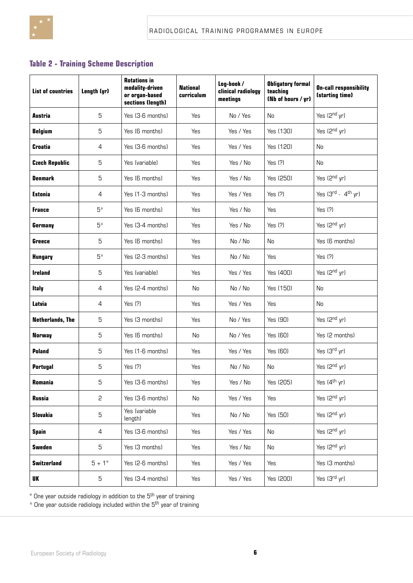

### **Table 2 - Training Scheme Description**

| <b>List of countries</b> | Length (yr) | <b>Rotations in</b><br>modality-driven<br>or organ-based<br>sections (length) | <b>National</b><br>curriculum | Log-book /<br>clinical radiology<br>meetings | <b>Obligatory formal</b><br>teaching<br>(Nb of hours / yr) | <b>On-call responsibility</b><br>(starting time) |
|--------------------------|-------------|-------------------------------------------------------------------------------|-------------------------------|----------------------------------------------|------------------------------------------------------------|--------------------------------------------------|
| Austria                  | 5           | Yes (3-6 months)                                                              | Yes                           | No / Yes                                     | <b>No</b>                                                  | Yes (2 <sup>nd</sup> yr)                         |
| <b>Belgium</b>           | 5           | Yes (6 months)                                                                | Yes                           | Yes / Yes                                    | Yes (130)                                                  | Yes (2 <sup>nd</sup> yr)                         |
| <b>Croatia</b>           | 4           | Yes (3-6 months)                                                              | Yes                           | Yes / Yes                                    | Yes (120)                                                  | No                                               |
| <b>Czech Republic</b>    | 5           | Yes (variable)                                                                | Yes                           | Yes / No                                     | Yes (?)                                                    | No                                               |
| <b>Denmark</b>           | 5           | Yes (6 months)                                                                | Yes                           | Yes / No                                     | Yes (250)                                                  | Yes (2 <sup>nd</sup> yr)                         |
| Estonia                  | 4           | Yes (1-3 months)                                                              | Yes                           | Yes / Yes                                    | Yes (?)                                                    | Yes $(3rd - 4th$ yr)                             |
| France                   | 5*          | Yes (6 months)                                                                | Yes                           | Yes / No                                     | Yes                                                        | Yes (?)                                          |
| <b>Germany</b>           | 5*          | Yes (3-4 months)                                                              | Yes                           | Yes / No                                     | Yes (?)                                                    | Yes (2nd yr)                                     |
| <b>Greece</b>            | 5           | Yes (6 months)                                                                | Yes                           | No / No                                      | No                                                         | Yes (6 months)                                   |
| <b>Hungary</b>           | 5*          | Yes (2-3 months)                                                              | Yes                           | No / No                                      | Yes                                                        | Yes (?)                                          |
| <b>Ireland</b>           | 5           | Yes (variable)                                                                | Yes                           | Yes / Yes                                    | Yes (400)                                                  | Yes (2 <sup>nd</sup> yr)                         |
| <b>Italy</b>             | 4           | Yes (2-4 months)                                                              | No                            | No / No                                      | Yes (150)                                                  | No                                               |
| Latvia                   | 4           | Yes (?)                                                                       | Yes                           | Yes / Yes                                    | Yes                                                        | No                                               |
| <b>Netherlands, The</b>  | 5           | Yes (3 months)                                                                | Yes                           | No / Yes                                     | Yes (90)                                                   | Yes (2 <sup>nd</sup> yr)                         |
| <b>Norway</b>            | 5           | Yes (6 months)                                                                | No                            | No / Yes                                     | Yes (60)                                                   | Yes (2 months)                                   |
| <b>Poland</b>            | 5           | Yes (1-6 months)                                                              | Yes                           | Yes / Yes                                    | Yes (60)                                                   | Yes (3rd yr)                                     |
| <b>Portugal</b>          | 5           | Yes (?)                                                                       | Yes                           | No / No                                      | No                                                         | Yes (2 <sup>nd</sup> yr)                         |
| Romania                  | 5           | Yes (3-6 months)                                                              | Yes                           | Yes / No                                     | Yes (205)                                                  | Yes (4 <sup>th</sup> yr)                         |
| <b>Russia</b>            | 2           | Yes (3-6 months)                                                              | No                            | Yes / Yes                                    | Yes                                                        | Yes (2nd yr)                                     |
| <b>Slovakia</b>          | 5           | Yes (variable<br>length)                                                      | Yes                           | No / No                                      | Yes (50)                                                   | Yes (2 <sup>nd</sup> yr)                         |
| <b>Spain</b>             | 4           | Yes (3-6 months)                                                              | Yes                           | Yes / Yes                                    | No                                                         | Yes (2nd yr)                                     |
| <b>Sweden</b>            | 5           | Yes (3 months)                                                                | Yes                           | Yes / No                                     | No                                                         | Yes (2nd yr)                                     |
| <b>Switzerland</b>       | $5+1^\circ$ | Yes (2-6 months)                                                              | Yes                           | Yes / Yes                                    | Yes                                                        | Yes (3 months)                                   |
| UK                       | 5           | Yes (3-4 months)                                                              | Yes                           | Yes / Yes                                    | Yes (200)                                                  | Yes (3rd yr)                                     |

 $\degree$  One year outside radiology in addition to the  $5^{\text{th}}$  year of training

\* One year outside radiology included within the 5th year of training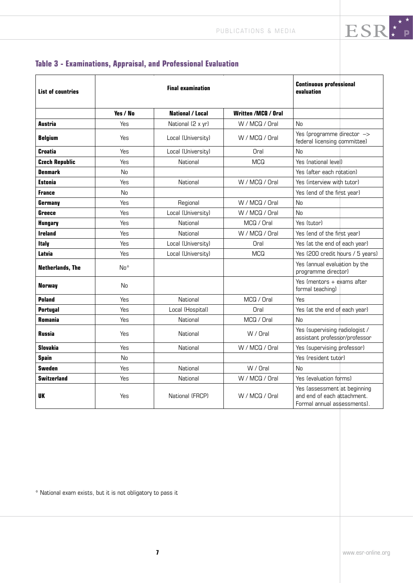| <b>List of countries</b> |            | <b>Final examination</b> | <b>Continuous professional</b><br>evaluation         |                                                                                            |  |
|--------------------------|------------|--------------------------|------------------------------------------------------|--------------------------------------------------------------------------------------------|--|
|                          | Yes / No   | <b>National / Local</b>  | <b>Written /MCO / Oral</b>                           |                                                                                            |  |
| Austria                  | <b>Yes</b> | National (2 x yr)        | W / MCQ / Oral                                       | No                                                                                         |  |
| <b>Belgium</b>           | Yes        | Local (University)       | W / MCQ / Oral                                       | Yes (programme director $\rightarrow$<br>federal licensing committee)                      |  |
| <b>Croatia</b>           | Yes        | Local (University)       | Oral                                                 | No                                                                                         |  |
| <b>Czech Republic</b>    | Yes        | National                 | <b>MCQ</b>                                           | Yes (national level)                                                                       |  |
| <b>Denmark</b>           | No         |                          |                                                      | Yes (after each rotation)                                                                  |  |
| <b>Estonia</b>           | Yes        | National                 | W / MCQ / Oral                                       | Yes (interview with tutor)                                                                 |  |
| <b>France</b>            | No         |                          |                                                      | Yes (end of the first year)                                                                |  |
| Germany                  | Yes        | Regional                 | W / MCQ / Oral                                       | <b>No</b>                                                                                  |  |
| Greece                   | Yes        | Local (University)       | W / MCQ / Oral                                       | No                                                                                         |  |
| <b>Hungary</b>           | Yes        | National                 | MCQ / Oral                                           | Yes (tutor)                                                                                |  |
| <b>Ireland</b>           | Yes        | National                 | W / MCQ / Oral                                       | Yes (end of the first year)                                                                |  |
| <b>Italy</b>             | Yes        | Local (University)       | Oral                                                 | Yes (at the end of each year)                                                              |  |
| Latvia                   | Yes        | Local (University)       | <b>MCQ</b>                                           | Yes (200 credit hours / 5 years)                                                           |  |
| <b>Netherlands, The</b>  | $No*$      |                          | Yes (annual evaluation by the<br>programme director) |                                                                                            |  |
| <b>Norway</b>            | No         |                          |                                                      | Yes (mentors + exams after<br>formal teaching)                                             |  |
| <b>Poland</b>            | Yes        | National                 | MCQ / Oral                                           | Yes                                                                                        |  |
| <b>Portugal</b>          | Yes        | Local (Hospital)         | Oral                                                 | Yes (at the end of each year)                                                              |  |
| <b>Romania</b>           | Yes        | National                 | MCQ / Oral                                           | No                                                                                         |  |
| <b>Russia</b>            | Yes        | National                 | W / Oral                                             | Yes (supervising radiologist /<br>assistant professor/professor                            |  |
| <b>Slovakia</b>          | Yes        | National                 | W / MCQ / Oral                                       | Yes (supervising professor)                                                                |  |
| <b>Spain</b>             | <b>No</b>  |                          |                                                      | Yes (resident tutor)                                                                       |  |
| <b>Sweden</b>            | Yes        | National                 | W / Oral                                             | No                                                                                         |  |
| <b>Switzerland</b>       | Yes        | National                 | W / MCQ / Oral                                       | Yes (evaluation forms)                                                                     |  |
| UK                       | Yes        | National (FRCP)          | W / MCQ / Oral                                       | Yes lassessment at beginning<br>and end of each attachment.<br>Formal annual assessments). |  |

### **Table 3 - Examinations, Appraisal, and Professional Evaluation**

\* National exam exists, but it is not obligatory to pass it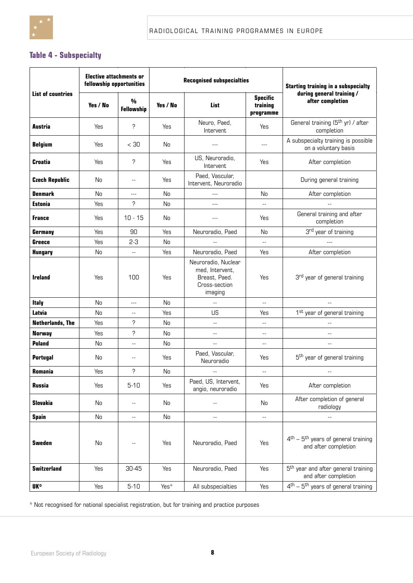

### **Table 4 - Subspecialty**

|                          | <b>Elective attachments or</b><br>fellowship opportunities |                          |               | <b>Recognised subspecialties</b>                                                    | <b>Starting training in a subspecialty</b>                       |                                                                         |
|--------------------------|------------------------------------------------------------|--------------------------|---------------|-------------------------------------------------------------------------------------|------------------------------------------------------------------|-------------------------------------------------------------------------|
| <b>List of countries</b> | Yes / No                                                   | %<br><b>Fellowship</b>   | Yes / No      | List                                                                                | <b>Specific</b><br>training<br>$\boldsymbol{\mathsf{programme}}$ | during general training /<br>after completion                           |
| Austria                  | Yes                                                        | ?                        | Yes           | Neuro, Paed,<br>Intervent                                                           | Yes                                                              | General training (5 <sup>th</sup> yr) / after<br>completion             |
| <b>Belgium</b>           | Yes                                                        | $<$ 30                   | No            | $---$                                                                               | $---$                                                            | A subspecialty training is possible<br>on a voluntary basis             |
| <b>Croatia</b>           | Yes                                                        | ò                        | Yes           | US, Neuroradio,<br>Intervent                                                        | Yes                                                              | After completion                                                        |
| <b>Czech Republic</b>    | No                                                         | $\overline{\phantom{a}}$ | Yes           | Paed, Vascular,<br>Intervent, Neuroradio                                            |                                                                  | During general training                                                 |
| <b>Denmark</b>           | <b>No</b>                                                  | $---$                    | <b>No</b>     | $---$                                                                               | No                                                               | After completion                                                        |
| <b>Estonia</b>           | Yes                                                        | ò                        | <b>No</b>     | $---$                                                                               | --                                                               |                                                                         |
| France                   | Yes                                                        | $10 - 15$                | No            | $---$                                                                               | Yes                                                              | General training and after<br>completion                                |
| Germany                  | Yes                                                        | 90                       | Yes           | Neuroradio, Paed                                                                    | No                                                               | 3rd year of training                                                    |
| <b>Greece</b>            | Yes                                                        | $2-3$                    | <b>No</b>     |                                                                                     | $\overline{\phantom{a}}$                                         | $---$                                                                   |
| <b>Hungary</b>           | No                                                         | $\mathbf{u}$             | Yes           | Neuroradio, Paed                                                                    | Yes                                                              | After completion                                                        |
| <b>Ireland</b>           | Yes                                                        | 100                      | Yes           | Neuroradio, Nuclear<br>med, Intervent,<br>Breast, Paed.<br>Cross-section<br>imaging | Yes                                                              | 3 <sup>rd</sup> year of general training                                |
| <b>Italy</b>             | <b>No</b>                                                  | $---$                    | No            | $\overline{a}$                                                                      | $\overline{\phantom{a}}$                                         | $\overline{a}$                                                          |
| Latvia                   | <b>No</b>                                                  | $\overline{\phantom{m}}$ | Yes           | US                                                                                  | Yes                                                              | 1 <sup>st</sup> year of general training                                |
| <b>Netherlands, The</b>  | Yes                                                        | ?                        | No            | $\overline{\phantom{a}}$                                                            | $\overline{\phantom{a}}$                                         |                                                                         |
| Norway                   | Yes                                                        | Ċ                        | <b>No</b>     | $\overline{\phantom{a}}$                                                            | $\overline{\phantom{m}}$                                         | $\overline{a}$                                                          |
| <b>Poland</b>            | No                                                         | $\overline{\phantom{a}}$ | No            | $\overline{\phantom{a}}$                                                            | $\overline{\phantom{a}}$                                         | $ -$                                                                    |
| <b>Portugal</b>          | No                                                         | $\overline{\phantom{m}}$ | Yes           | Paed, Vascular,<br>Neuroradio                                                       | Yes                                                              | 5 <sup>th</sup> year of general training                                |
| Romania                  | Yes                                                        | Ċ                        | <b>No</b>     | $\overline{\phantom{a}}$                                                            | $\mathbf{u}$                                                     |                                                                         |
| <b>Russia</b>            | Yes                                                        | $5 - 10$                 | Yes           | Paed, US, Intervent,<br>angio, neuroradio                                           | Yes                                                              | After completion                                                        |
| <b>Slovakia</b>          | No                                                         | $\qquad \qquad -$        | No            |                                                                                     | No                                                               | After completion of general<br>radiology                                |
| <b>Spain</b>             | No                                                         | $\overline{\phantom{a}}$ | $\mathsf{No}$ | $-$                                                                                 | $\overline{\phantom{a}}$                                         | --                                                                      |
| <b>Sweden</b>            | No                                                         | $\overline{\phantom{a}}$ | Yes           | Neuroradio, Paed                                                                    | Yes                                                              | $4th - 5th$ years of general training<br>and after completion           |
| <b>Switzerland</b>       | Yes                                                        | 30-45                    | Yes           | Neuroradio, Paed                                                                    | Yes                                                              | 5 <sup>th</sup> year and after general training<br>and after completion |
| UK*                      | Yes                                                        | $5 - 10$                 | Yes*          | All subspecialties                                                                  | Yes                                                              | $4th - 5th$ years of general training                                   |

\* Not recognised for national specialist registration, but for training and practice purposes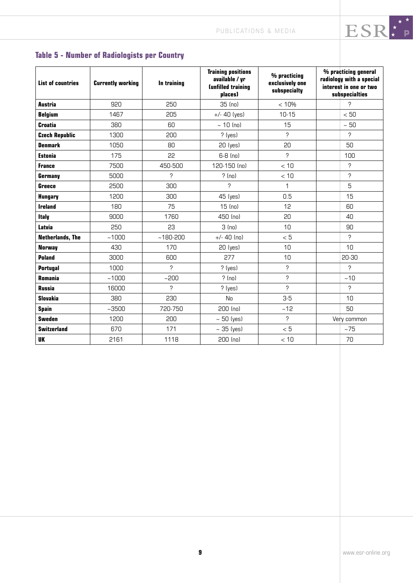# **Table 5 - Number of Radiologists per Country**

| <b>List of countries</b> | <b>Currently working</b> | In training  | <b>Training positions</b><br>available / yr<br><b>Cunfilled training</b><br>places) | % practicing<br>exclusively one<br>subspecialty | % practicing general<br>radiology with a special<br>interest in one or two<br>subspecialties |
|--------------------------|--------------------------|--------------|-------------------------------------------------------------------------------------|-------------------------------------------------|----------------------------------------------------------------------------------------------|
| Austria                  | 920                      | 250          | 35 (no)                                                                             | < 10%                                           | C                                                                                            |
| <b>Belgium</b>           | 1467                     | 205          | $+/- 40$ (yes)                                                                      | $10 - 15$                                       | < 50                                                                                         |
| <b>Croatia</b>           | 380                      | 60           | $~10$ (no)                                                                          | 15                                              | $\sim 50$                                                                                    |
| <b>Czech Republic</b>    | 1300                     | 200          | $?$ (ves)                                                                           | Ċ                                               | Ç                                                                                            |
| <b>Denmark</b>           | 1050                     | 80           | 20 (yes)                                                                            | 20                                              | 50                                                                                           |
| <b>Estonia</b>           | 175                      | 22           | 6-8 (no)                                                                            | ን                                               | 100                                                                                          |
| <b>France</b>            | 7500                     | 450-500      | 120-150 (no)                                                                        | < 10                                            | Ċ                                                                                            |
| Germany                  | 5000                     | ċ            | ? (no)                                                                              | < 10                                            | ?                                                                                            |
| <b>Greece</b>            | 2500                     | 300          | C                                                                                   | 1                                               | 5                                                                                            |
| <b>Hungary</b>           | 1200                     | 300          | 45 (yes)                                                                            | 0.5                                             | 15                                                                                           |
| <b>Ireland</b>           | 180                      | 75           | $15$ (no)                                                                           | 12                                              | 60                                                                                           |
| <b>Italy</b>             | 9000                     | 1760         | 450 (no)                                                                            | 20                                              | 40                                                                                           |
| Latvia                   | 250                      | 23           | $3$ (no)                                                                            | 10                                              | 90                                                                                           |
| <b>Netherlands, The</b>  | ~1000                    | $~180 - 200$ | $+/- 40$ (no)                                                                       | < 5                                             | ò.                                                                                           |
| <b>Norway</b>            | 430                      | 170          | 20 (yes)                                                                            | 10                                              | 10                                                                                           |
| <b>Poland</b>            | 3000                     | 600          | 277                                                                                 | 10                                              | 20-30                                                                                        |
| <b>Portugal</b>          | 1000                     | Ċ            | $?$ (yes)                                                                           | ?                                               | Ç                                                                                            |
| <b>Romania</b>           | ~1000                    | ~1200        | ? (no)                                                                              | ۶                                               | ~10                                                                                          |
| <b>Russia</b>            | 16000                    | ċ            | $?$ (yes)                                                                           | Ċ                                               | ?                                                                                            |
| <b>Slovakia</b>          | 380                      | 230          | <b>No</b>                                                                           | $3-5$                                           | 10                                                                                           |
| <b>Spain</b>             | ~12500                   | 720-750      | 200 (no)                                                                            | ~12                                             | 50                                                                                           |
| <b>Sweden</b>            | 1200                     | 200          | $\sim$ 50 (yes)                                                                     | Ċ.                                              | Very common                                                                                  |
| <b>Switzerland</b>       | 670                      | 171          | $\sim$ 35 (yes)                                                                     | < 5                                             | ~175                                                                                         |
| <b>UK</b>                | 2161                     | 1118         | $200$ (no)                                                                          | < 10                                            | 70                                                                                           |